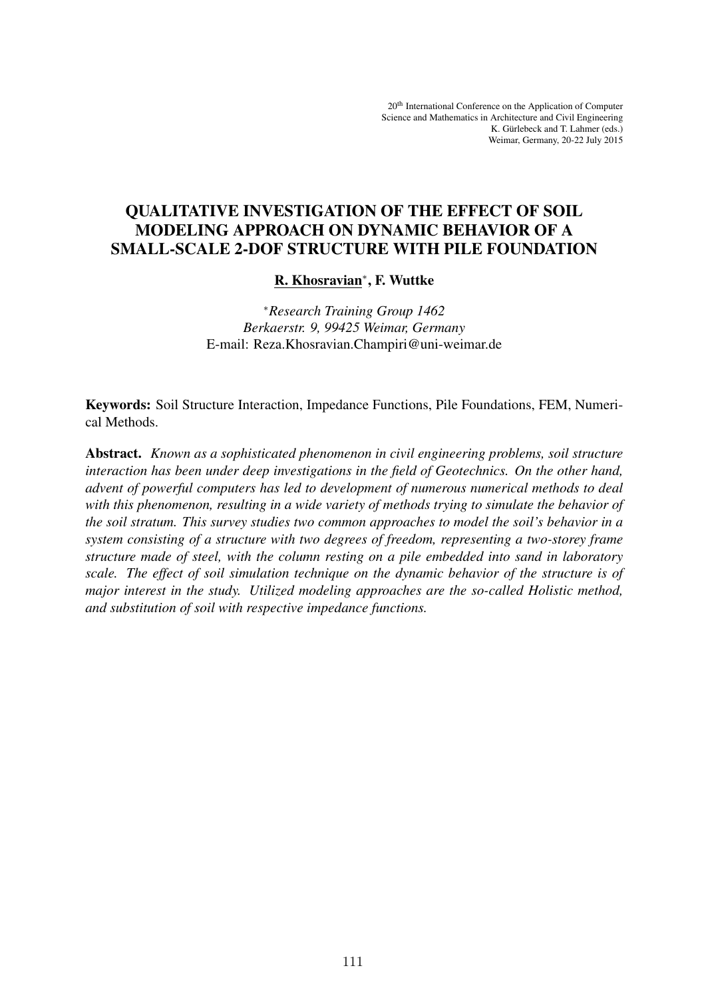# QUALITATIVE INVESTIGATION OF THE EFFECT OF SOIL MODELING APPROACH ON DYNAMIC BEHAVIOR OF A SMALL-SCALE 2-DOF STRUCTURE WITH PILE FOUNDATION

# <u>R. Khosravian</u>\*, F. Wuttke

<sup>∗</sup>*Research Training Group 1462 Berkaerstr. 9, 99425 Weimar, Germany* E-mail: Reza.Khosravian.Champiri@uni-weimar.de

Keywords: Soil Structure Interaction, Impedance Functions, Pile Foundations, FEM, Numerical Methods.

Abstract. *Known as a sophisticated phenomenon in civil engineering problems, soil structure interaction has been under deep investigations in the field of Geotechnics. On the other hand, advent of powerful computers has led to development of numerous numerical methods to deal with this phenomenon, resulting in a wide variety of methods trying to simulate the behavior of the soil stratum. This survey studies two common approaches to model the soil's behavior in a system consisting of a structure with two degrees of freedom, representing a two-storey frame structure made of steel, with the column resting on a pile embedded into sand in laboratory scale. The effect of soil simulation technique on the dynamic behavior of the structure is of major interest in the study. Utilized modeling approaches are the so-called Holistic method, and substitution of soil with respective impedance functions.*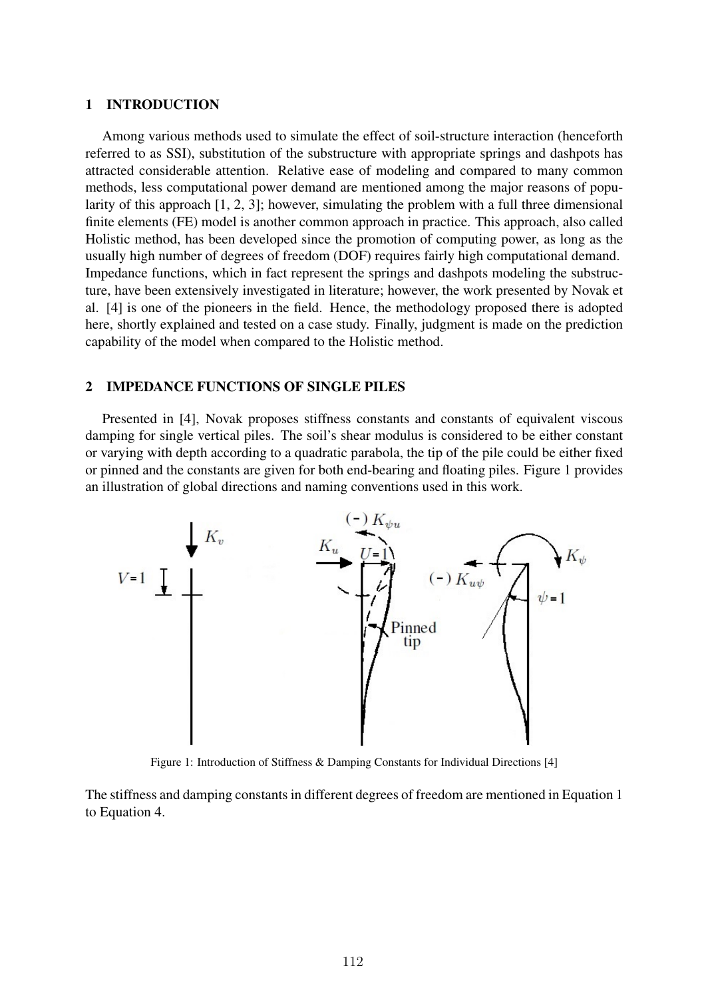### 1 INTRODUCTION

Among various methods used to simulate the effect of soil-structure interaction (henceforth referred to as SSI), substitution of the substructure with appropriate springs and dashpots has attracted considerable attention. Relative ease of modeling and compared to many common methods, less computational power demand are mentioned among the major reasons of popularity of this approach [1, 2, 3]; however, simulating the problem with a full three dimensional finite elements (FE) model is another common approach in practice. This approach, also called Holistic method, has been developed since the promotion of computing power, as long as the usually high number of degrees of freedom (DOF) requires fairly high computational demand. Impedance functions, which in fact represent the springs and dashpots modeling the substructure, have been extensively investigated in literature; however, the work presented by Novak et al. [4] is one of the pioneers in the field. Hence, the methodology proposed there is adopted here, shortly explained and tested on a case study. Finally, judgment is made on the prediction capability of the model when compared to the Holistic method.

# 2 IMPEDANCE FUNCTIONS OF SINGLE PILES

Presented in [4], Novak proposes stiffness constants and constants of equivalent viscous damping for single vertical piles. The soil's shear modulus is considered to be either constant or varying with depth according to a quadratic parabola, the tip of the pile could be either fixed or pinned and the constants are given for both end-bearing and floating piles. Figure 1 provides an illustration of global directions and naming conventions used in this work.



Figure 1: Introduction of Stiffness & Damping Constants for Individual Directions [4]

The stiffness and damping constants in different degrees of freedom are mentioned in Equation 1 to Equation 4.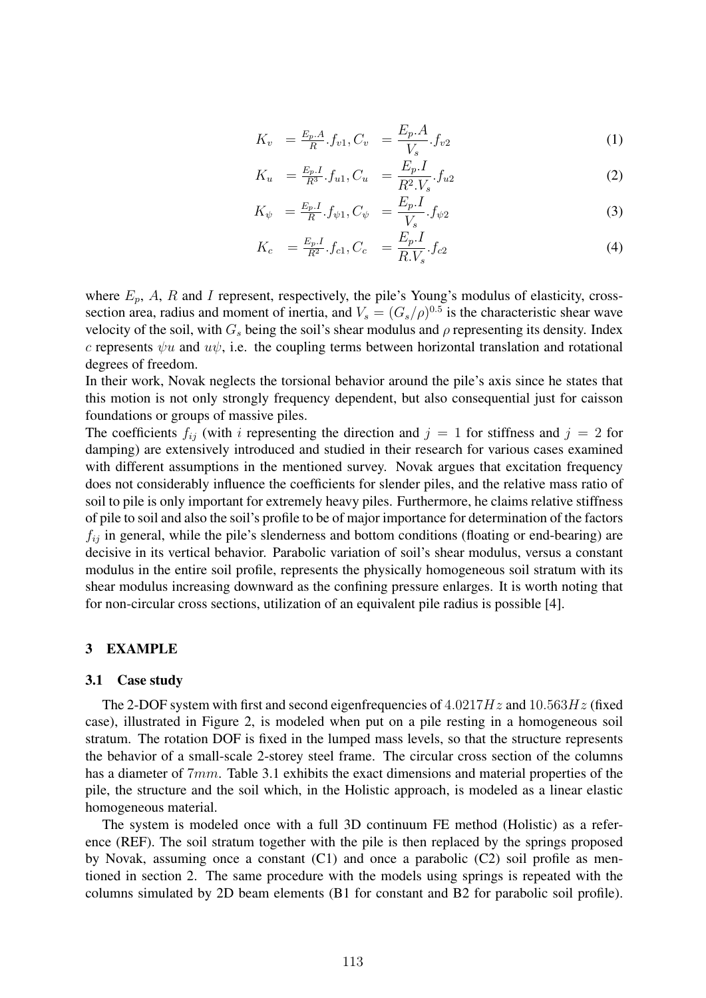$$
K_v = \frac{E_p.A}{R}.f_{v1}, C_v = \frac{E_p.A}{V_s}.f_{v2}
$$
\n(1)

$$
K_u = \frac{E_p I}{R^3} f_{u1}, C_u = \frac{E_p I}{R^2 V_s} f_{u2}
$$
 (2)

$$
K_{\psi} = \frac{E_p I}{R} \cdot f_{\psi 1}, C_{\psi} = \frac{E_p I}{V_s} \cdot f_{\psi 2}
$$
 (3)

$$
K_c = \frac{E_p I}{R^2} f_{c1}, C_c = \frac{E_p I}{R.V_s} f_{c2}
$$
\n(4)

where  $E_p$ , A, R and I represent, respectively, the pile's Young's modulus of elasticity, crosssection area, radius and moment of inertia, and  $V_s = (G_s/\rho)^{0.5}$  is the characteristic shear wave velocity of the soil, with  $G_s$  being the soil's shear modulus and  $\rho$  representing its density. Index c represents  $\psi u$  and  $u\psi$ , i.e. the coupling terms between horizontal translation and rotational degrees of freedom.

In their work, Novak neglects the torsional behavior around the pile's axis since he states that this motion is not only strongly frequency dependent, but also consequential just for caisson foundations or groups of massive piles.

The coefficients  $f_{ij}$  (with i representing the direction and  $j = 1$  for stiffness and  $j = 2$  for damping) are extensively introduced and studied in their research for various cases examined with different assumptions in the mentioned survey. Novak argues that excitation frequency does not considerably influence the coefficients for slender piles, and the relative mass ratio of soil to pile is only important for extremely heavy piles. Furthermore, he claims relative stiffness of pile to soil and also the soil's profile to be of major importance for determination of the factors  $f_{ij}$  in general, while the pile's slenderness and bottom conditions (floating or end-bearing) are decisive in its vertical behavior. Parabolic variation of soil's shear modulus, versus a constant modulus in the entire soil profile, represents the physically homogeneous soil stratum with its shear modulus increasing downward as the confining pressure enlarges. It is worth noting that for non-circular cross sections, utilization of an equivalent pile radius is possible [4].

### 3 EXAMPLE

#### 3.1 Case study

The 2-DOF system with first and second eigenfrequencies of  $4.0217Hz$  and  $10.563Hz$  (fixed case), illustrated in Figure 2, is modeled when put on a pile resting in a homogeneous soil stratum. The rotation DOF is fixed in the lumped mass levels, so that the structure represents the behavior of a small-scale 2-storey steel frame. The circular cross section of the columns has a diameter of 7mm. Table 3.1 exhibits the exact dimensions and material properties of the pile, the structure and the soil which, in the Holistic approach, is modeled as a linear elastic homogeneous material.

The system is modeled once with a full 3D continuum FE method (Holistic) as a reference (REF). The soil stratum together with the pile is then replaced by the springs proposed by Novak, assuming once a constant (C1) and once a parabolic (C2) soil profile as mentioned in section 2. The same procedure with the models using springs is repeated with the columns simulated by 2D beam elements (B1 for constant and B2 for parabolic soil profile).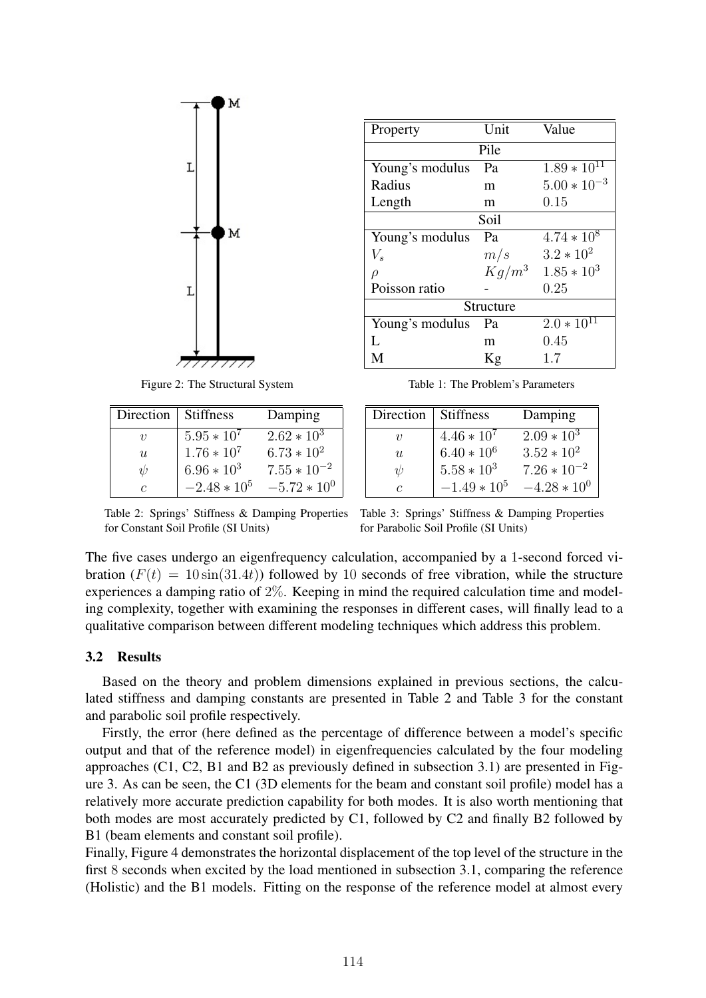

Property Unit Value Pile Young's modulus Pa  $1.89 \times 10^{11}$ <br>Radius m  $5.00 \times 10^{-1}$ m  $5.00 * 10^{-3}$ <br>m  $0.15$ Length Soil Young's modulus Pa  $4.74 * 10^8$ <br> $V_s$   $m/s$   $3.2 * 10^2$  $m/s$  3.2 \* 10<sup>2</sup><br> $Kq/m^3$  1.85 \* 10  $\rho$  Kg/m<sup>3</sup> 1.85  $*$  10<sup>3</sup><br>Poisson ratio - 0.25 Poisson ratio Structure Young's modulus Pa  $2.0 * 10^{11}$ <br>L m  $0.45$  $0.45$ M  $Kg$  1.7

Figure 2: The Structural System

| Direction           | <b>Stiffness</b> | Damping          |
|---------------------|------------------|------------------|
| $\boldsymbol{\eta}$ | $5.95 * 10^7$    | $2.62 * 10^3$    |
| u                   | $1.76 * 10^7$    | $6.73 * 10^2$    |
| ψ                   | $6.96 * 10^3$    | $7.55 * 10^{-2}$ |
| C                   | $-2.48 * 10^5$   | $-5.72 * 10^{0}$ |

Table 1: The Problem's Parameters

| Direction      | <b>Stiffness</b> | Damping          |
|----------------|------------------|------------------|
| $\eta$         | $4.46 * 10^{7}$  | $2.09 * 103$     |
| $\overline{u}$ | $6.40 * 10^6$    | $3.52 * 10^2$    |
| $\eta$         | $5.58 * 10^3$    | $7.26 * 10^{-2}$ |
| C              | $-1.49 * 10^5$   | $-4.28 * 10^{0}$ |

Table 2: Springs' Stiffness & Damping Properties Table 3: Springs' Stiffness & Damping Properties for Constant Soil Profile (SI Units)

for Parabolic Soil Profile (SI Units)

The five cases undergo an eigenfrequency calculation, accompanied by a 1-second forced vibration  $(F(t) = 10 \sin(31.4t))$  followed by 10 seconds of free vibration, while the structure experiences a damping ratio of 2%. Keeping in mind the required calculation time and modeling complexity, together with examining the responses in different cases, will finally lead to a qualitative comparison between different modeling techniques which address this problem.

# 3.2 Results

Based on the theory and problem dimensions explained in previous sections, the calculated stiffness and damping constants are presented in Table 2 and Table 3 for the constant and parabolic soil profile respectively.

Firstly, the error (here defined as the percentage of difference between a model's specific output and that of the reference model) in eigenfrequencies calculated by the four modeling approaches (C1, C2, B1 and B2 as previously defined in subsection 3.1) are presented in Figure 3. As can be seen, the C1 (3D elements for the beam and constant soil profile) model has a relatively more accurate prediction capability for both modes. It is also worth mentioning that both modes are most accurately predicted by C1, followed by C2 and finally B2 followed by B1 (beam elements and constant soil profile).

Finally, Figure 4 demonstrates the horizontal displacement of the top level of the structure in the first 8 seconds when excited by the load mentioned in subsection 3.1, comparing the reference (Holistic) and the B1 models. Fitting on the response of the reference model at almost every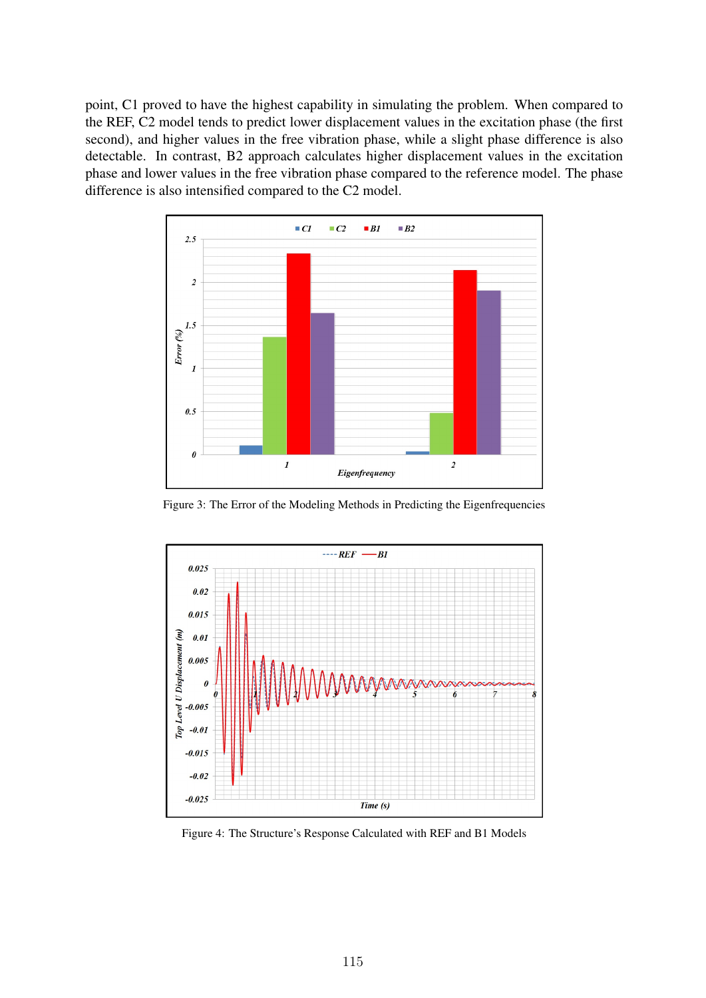point, C1 proved to have the highest capability in simulating the problem. When compared to the REF, C2 model tends to predict lower displacement values in the excitation phase (the first second), and higher values in the free vibration phase, while a slight phase difference is also detectable. In contrast, B2 approach calculates higher displacement values in the excitation phase and lower values in the free vibration phase compared to the reference model. The phase difference is also intensified compared to the C2 model.



Figure 3: The Error of the Modeling Methods in Predicting the Eigenfrequencies



Figure 4: The Structure's Response Calculated with REF and B1 Models